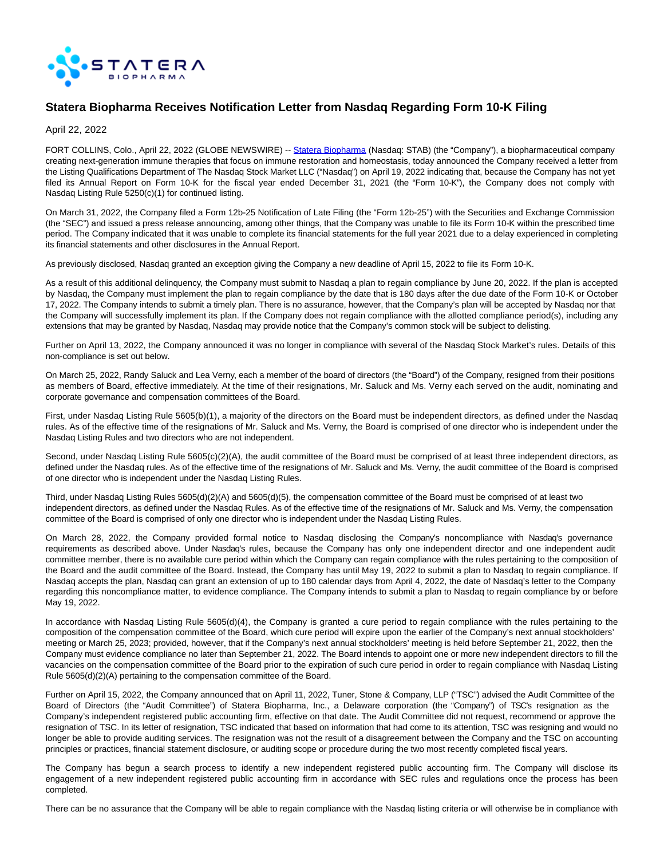

# **Statera Biopharma Receives Notification Letter from Nasdaq Regarding Form 10-K Filing**

April 22, 2022

FORT COLLINS, Colo., April 22, 2022 (GLOBE NEWSWIRE) -- [Statera Biopharma \(](https://www.globenewswire.com/Tracker?data=RK8QyHC8LBXUlmij5y-wpZGGURKL1r7RsF6Vh5sOOFw-j_4-w9dnClgiDYiE4tApSUCeflaQI40K4wtXD_qeVZYhAaa9CnumFH-gqMLwjl2Dg8IXAiAlC_K7sCxYuk9xmU1iFZQXAGONUAN5G1Rg1vt0SovjvwQ0PNZK1DiBZmqG8gO8iW6Uvus1lOgSOuHznL3nAMDa0gGQ1ILlM-TNjdp2NppLzgCg9OBFiaIsNGPF27DwRmCadyn8PiLjVpVSTWSHLfJCKau0TnLL4Fidu3hGhYfdbzUzj1mXsDwxsmLn_T7c4QjcBO0kUeKjl8oB)Nasdaq: STAB) (the "Company"), a biopharmaceutical company creating next-generation immune therapies that focus on immune restoration and homeostasis, today announced the Company received a letter from the Listing Qualifications Department of The Nasdaq Stock Market LLC ("Nasdaq") on April 19, 2022 indicating that, because the Company has not yet filed its Annual Report on Form 10-K for the fiscal year ended December 31, 2021 (the "Form 10-K"), the Company does not comply with Nasdaq Listing Rule 5250(c)(1) for continued listing.

On March 31, 2022, the Company filed a Form 12b-25 Notification of Late Filing (the "Form 12b-25") with the Securities and Exchange Commission (the "SEC") and issued a press release announcing, among other things, that the Company was unable to file its Form 10-K within the prescribed time period. The Company indicated that it was unable to complete its financial statements for the full year 2021 due to a delay experienced in completing its financial statements and other disclosures in the Annual Report.

As previously disclosed, Nasdaq granted an exception giving the Company a new deadline of April 15, 2022 to file its Form 10-K.

As a result of this additional delinquency, the Company must submit to Nasdaq a plan to regain compliance by June 20, 2022. If the plan is accepted by Nasdaq, the Company must implement the plan to regain compliance by the date that is 180 days after the due date of the Form 10-K or October 17, 2022. The Company intends to submit a timely plan. There is no assurance, however, that the Company's plan will be accepted by Nasdaq nor that the Company will successfully implement its plan. If the Company does not regain compliance with the allotted compliance period(s), including any extensions that may be granted by Nasdaq, Nasdaq may provide notice that the Company's common stock will be subject to delisting.

Further on April 13, 2022, the Company announced it was no longer in compliance with several of the Nasdaq Stock Market's rules. Details of this non-compliance is set out below.

On March 25, 2022, Randy Saluck and Lea Verny, each a member of the board of directors (the "Board") of the Company, resigned from their positions as members of Board, effective immediately. At the time of their resignations, Mr. Saluck and Ms. Verny each served on the audit, nominating and corporate governance and compensation committees of the Board.

First, under Nasdaq Listing Rule 5605(b)(1), a majority of the directors on the Board must be independent directors, as defined under the Nasdaq rules. As of the effective time of the resignations of Mr. Saluck and Ms. Verny, the Board is comprised of one director who is independent under the Nasdaq Listing Rules and two directors who are not independent.

Second, under Nasdaq Listing Rule 5605(c)(2)(A), the audit committee of the Board must be comprised of at least three independent directors, as defined under the Nasdaq rules. As of the effective time of the resignations of Mr. Saluck and Ms. Verny, the audit committee of the Board is comprised of one director who is independent under the Nasdaq Listing Rules.

Third, under Nasdaq Listing Rules 5605(d)(2)(A) and 5605(d)(5), the compensation committee of the Board must be comprised of at least two independent directors, as defined under the Nasdaq Rules. As of the effective time of the resignations of Mr. Saluck and Ms. Verny, the compensation committee of the Board is comprised of only one director who is independent under the Nasdaq Listing Rules.

On March 28, 2022, the Company provided formal notice to Nasdaq disclosing the Company's noncompliance with Nasdaq's governance requirements as described above. Under Nasdaq's rules, because the Company has only one independent director and one independent audit committee member, there is no available cure period within which the Company can regain compliance with the rules pertaining to the composition of the Board and the audit committee of the Board. Instead, the Company has until May 19, 2022 to submit a plan to Nasdaq to regain compliance. If Nasdaq accepts the plan, Nasdaq can grant an extension of up to 180 calendar days from April 4, 2022, the date of Nasdaq's letter to the Company regarding this noncompliance matter, to evidence compliance. The Company intends to submit a plan to Nasdaq to regain compliance by or before May 19, 2022.

In accordance with Nasdaq Listing Rule 5605(d)(4), the Company is granted a cure period to regain compliance with the rules pertaining to the composition of the compensation committee of the Board, which cure period will expire upon the earlier of the Company's next annual stockholders' meeting or March 25, 2023; provided, however, that if the Company's next annual stockholders' meeting is held before September 21, 2022, then the Company must evidence compliance no later than September 21, 2022. The Board intends to appoint one or more new independent directors to fill the vacancies on the compensation committee of the Board prior to the expiration of such cure period in order to regain compliance with Nasdaq Listing Rule 5605(d)(2)(A) pertaining to the compensation committee of the Board.

Further on April 15, 2022, the Company announced that on April 11, 2022, Tuner, Stone & Company, LLP ("TSC") advised the Audit Committee of the Board of Directors (the "Audit Committee") of Statera Biopharma, Inc., a Delaware corporation (the "Company") of TSC's resignation as the Company's independent registered public accounting firm, effective on that date. The Audit Committee did not request, recommend or approve the resignation of TSC. In its letter of resignation, TSC indicated that based on information that had come to its attention, TSC was resigning and would no longer be able to provide auditing services. The resignation was not the result of a disagreement between the Company and the TSC on accounting principles or practices, financial statement disclosure, or auditing scope or procedure during the two most recently completed fiscal years.

The Company has begun a search process to identify a new independent registered public accounting firm. The Company will disclose its engagement of a new independent registered public accounting firm in accordance with SEC rules and regulations once the process has been completed.

There can be no assurance that the Company will be able to regain compliance with the Nasdaq listing criteria or will otherwise be in compliance with